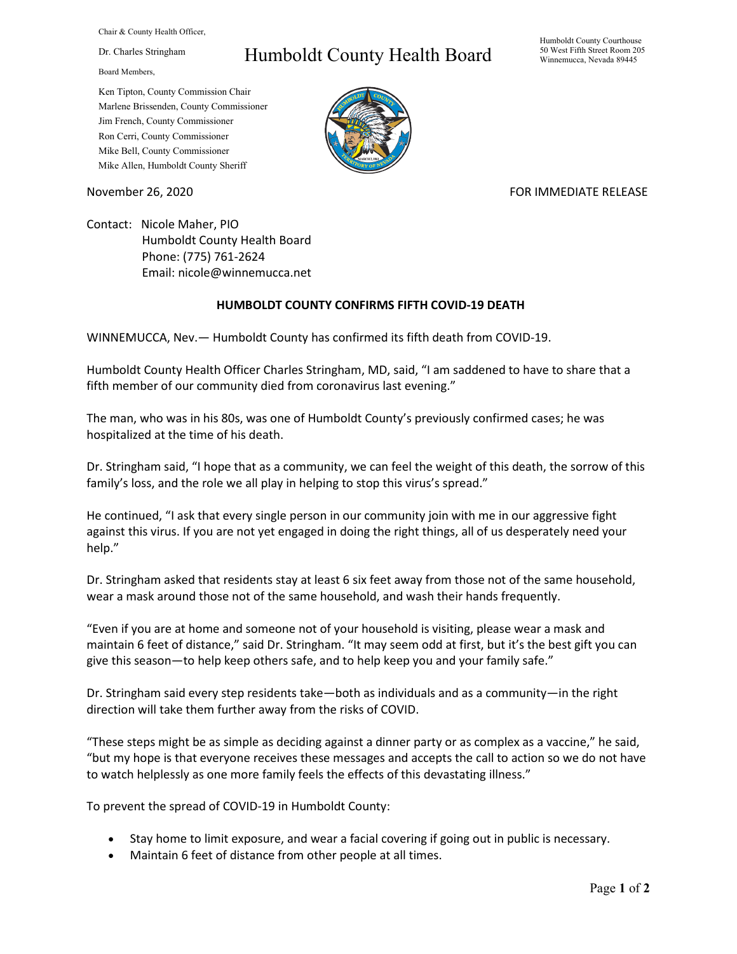Chair & County Health Officer,

Dr. Charles Stringham

Board Members,

## Humboldt County Health Board

Humboldt County Courthouse 50 West Fifth Street Room 205 Winnemucca, Nevada 89445

Ken Tipton, County Commission Chair Marlene Brissenden, County Commissioner Jim French, County Commissioner Ron Cerri, County Commissioner Mike Bell, County Commissioner Mike Allen, Humboldt County Sheriff

November 26, 2020 FOR IMMEDIATE RELEASE

Contact: Nicole Maher, PIO Humboldt County Health Board Phone: (775) 761-2624 Email: nicole@winnemucca.net

## **HUMBOLDT COUNTY CONFIRMS FIFTH COVID-19 DEATH**

WINNEMUCCA, Nev.— Humboldt County has confirmed its fifth death from COVID-19.

Humboldt County Health Officer Charles Stringham, MD, said, "I am saddened to have to share that a fifth member of our community died from coronavirus last evening."

The man, who was in his 80s, was one of Humboldt County's previously confirmed cases; he was hospitalized at the time of his death.

Dr. Stringham said, "I hope that as a community, we can feel the weight of this death, the sorrow of this family's loss, and the role we all play in helping to stop this virus's spread."

He continued, "I ask that every single person in our community join with me in our aggressive fight against this virus. If you are not yet engaged in doing the right things, all of us desperately need your help."

Dr. Stringham asked that residents stay at least 6 six feet away from those not of the same household, wear a mask around those not of the same household, and wash their hands frequently.

"Even if you are at home and someone not of your household is visiting, please wear a mask and maintain 6 feet of distance," said Dr. Stringham. "It may seem odd at first, but it's the best gift you can give this season—to help keep others safe, and to help keep you and your family safe."

Dr. Stringham said every step residents take—both as individuals and as a community—in the right direction will take them further away from the risks of COVID.

"These steps might be as simple as deciding against a dinner party or as complex as a vaccine," he said, "but my hope is that everyone receives these messages and accepts the call to action so we do not have to watch helplessly as one more family feels the effects of this devastating illness."

To prevent the spread of COVID-19 in Humboldt County:

- Stay home to limit exposure, and wear a facial covering if going out in public is necessary.
- Maintain 6 feet of distance from other people at all times.